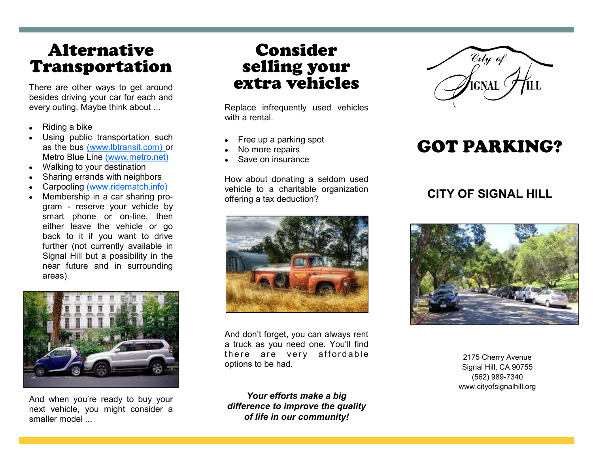# Alternative Transportation

There are other ways to get around besides driving your car for each and every outing. Maybe think about ...

- Riding a bike
- Using public transportation such as the bus (www.lbtransit.com) or Metro Blue Line (www.metro.net)
- Walking to your destination
- Sharing errands with neighbors
- Carpooling (www.ridematch.info)
- Membership in a car sharing program - reserve your vehicle by smart phone or on-line, then either leave the vehicle or go back to it if you want to drive further (not currently available in Signal Hill but a possibility in the near future and in surrounding areas).



And when you're ready to buy your next vehicle, you might consider a smaller model ...

## Consider selling your extra vehicles

Replace infrequently used vehicles with a rental

- Free up a parking spot
- No more repairs
- Save on insurance

How about donating a seldom used vehicle to a charitable organization offering a tax deduction?



And don't forget, you can always rent a truck as you need one. You'll find there are very affordable options to be had.

*Your efforts make a big difference to improve the quality of life in our community!*



# GOT PARKING?

#### **CITY OF SIGNAL HILL**



2175 Cherry Avenue Signal Hill, CA 90755 (562) 989-7340 www.cityofsignalhill.org